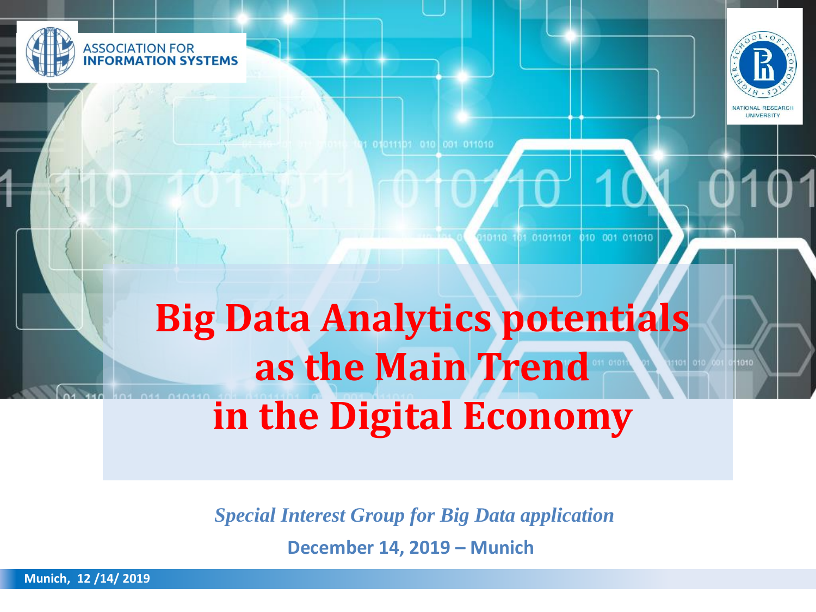



001 011010

10110 101 01011101 010 001 011010

# **Big Data Analytics potentials as the Main Trend in the Digital Economy**

*Special Interest Group for Big Data application* 

**December 14, 2019 – Munich**

**Munich, 12 /14/ 2019**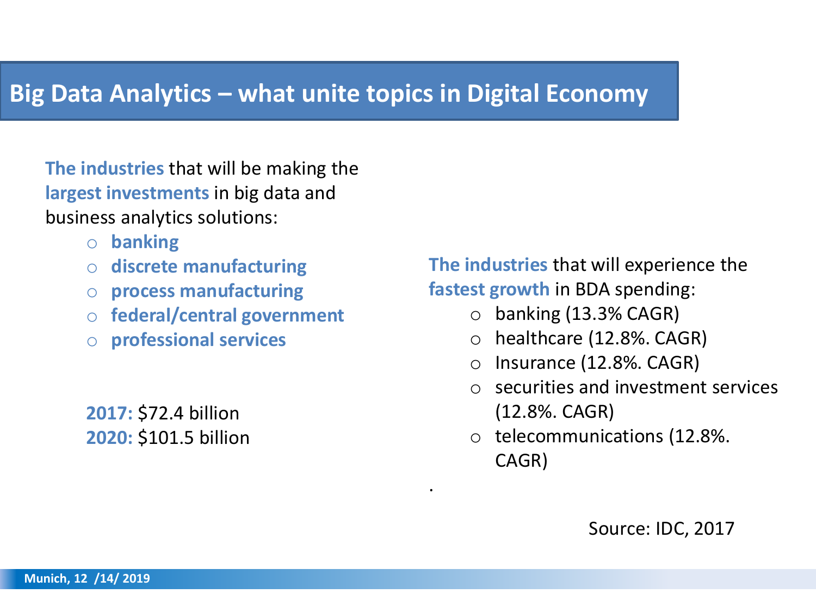### **Big Data Analytics – what unite topics in Digital Economy**

**The industries** that will be making the **largest investments** in big data and business analytics solutions:

- o **banking**
- o **discrete manufacturing**
- o **process manufacturing**
- o **federal/central government**
- o **professional services**

**2017:** \$72.4 billion **2020:** \$101.5 billion **The industries** that will experience the **fastest growth** in BDA spending:

- $\circ$  banking (13.3% CAGR)
- o healthcare (12.8%. CAGR)
- o Insurance (12.8%. CAGR)
- o securities and investment services (12.8%. CAGR)
- o telecommunications (12.8%. CAGR)

.

Source: IDC, 2017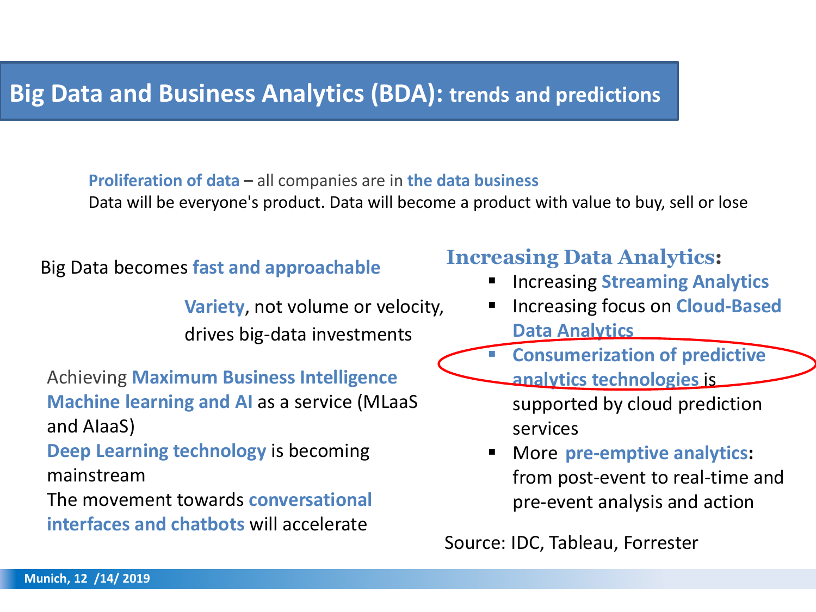### **Big Data and Business Analytics (BDA): trends and predictions**

#### **Proliferation of data –** all companies are in **the data business**

Data will be everyone's product. Data will become a product with value to buy, sell or lose

### Big Data becomes **fast and approachable**

**Variety**, not volume or velocity, drives big-data investments

Achieving **Maximum Business Intelligence Machine learning and AI** as a service (MLaaS and AIaaS)

**Deep Learning technology** is becoming mainstream

The movement towards **conversational interfaces and chatbots** will accelerate

### **Increasing Data Analytics:**

- Increasing **Streaming Analytics**
- Increasing focus on **Cloud-Based Data Analytics**
- **Consumerization of predictive**
- **analytics technologies** is supported by cloud prediction services
- More **pre-emptive analytics:**  from post-event to real-time and pre-event analysis and action

Source: IDC, Tableau, Forrester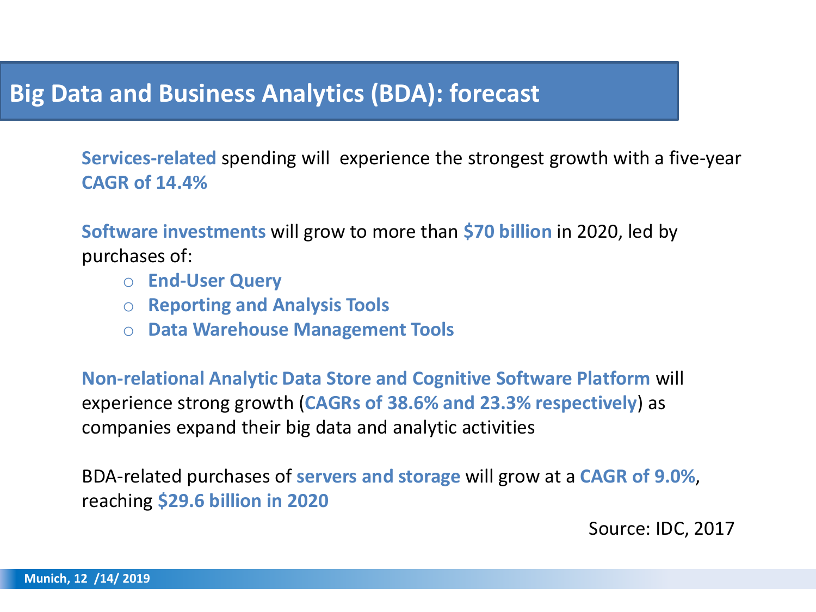### **Big Data and Business Analytics (BDA): forecast**

**Services-related** spending will experience the strongest growth with a five-year **CAGR of 14.4%**

**Software investments** will grow to more than **\$70 billion** in 2020, led by purchases of:

- o **End-User Query**
- o **Reporting and Analysis Tools**
- o **Data Warehouse Management Tools**

**Non-relational Analytic Data Store and Cognitive Software Platform** will experience strong growth (**CAGRs of 38.6% and 23.3% respectively**) as companies expand their big data and analytic activities

BDA-related purchases of **servers and storage** will grow at a **CAGR of 9.0%**, reaching **\$29.6 billion in 2020**

Source: IDC, 2017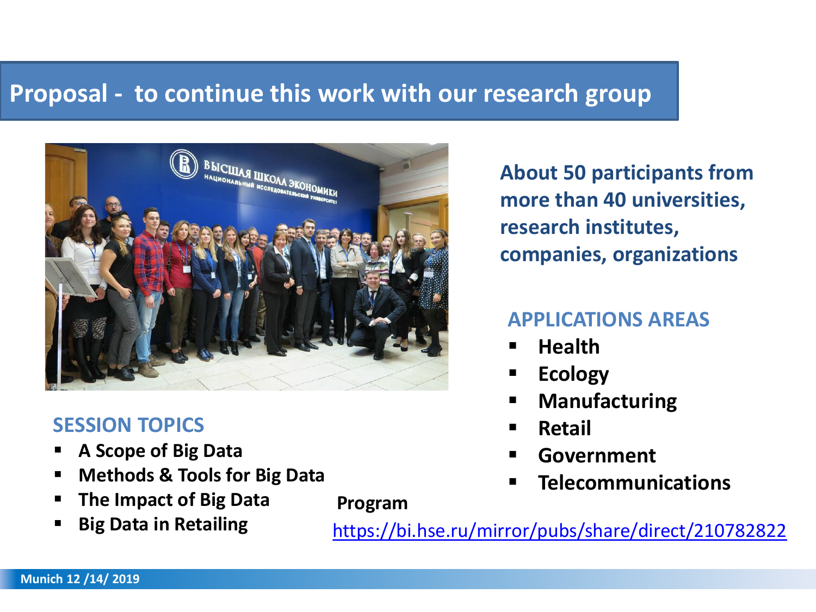## **Proposal - to continue this work with our research group**

**Program**



### **SESSION TOPICS**

- **A Scope of Big Data**
- **Methods & Tools for Big Data**
- **The Impact of Big Data**
- **Big Data in Retailing**

**About 50 participants from more than 40 universities, research institutes, companies, organizations**

### **APPLICATIONS AREAS**

- **Health**
- **Ecology**
- **Manufacturing**
- **Retail**
- **Government**
- **Telecommunications**

<https://bi.hse.ru/mirror/pubs/share/direct/210782822>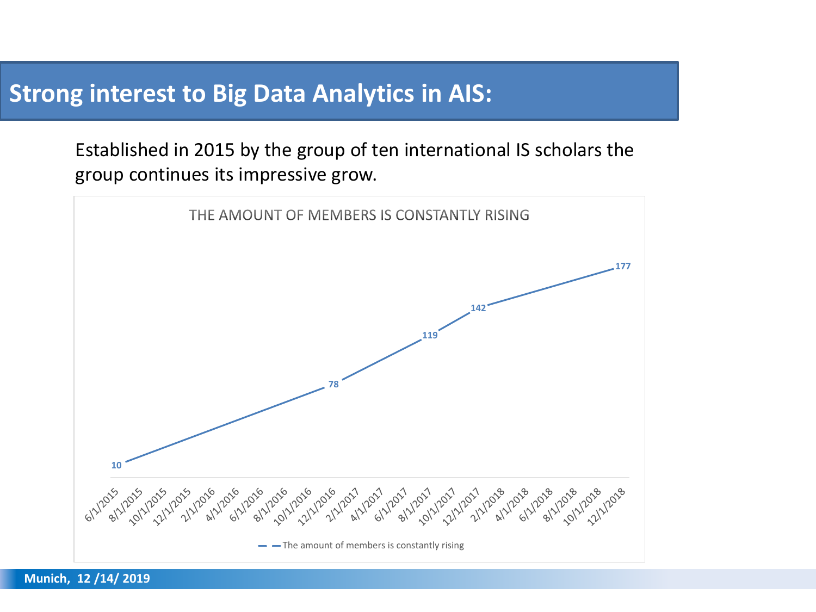### **Strong interest to Big Data Analytics in AIS:**

Established in 2015 by the group of ten international IS scholars the group continues its impressive grow.

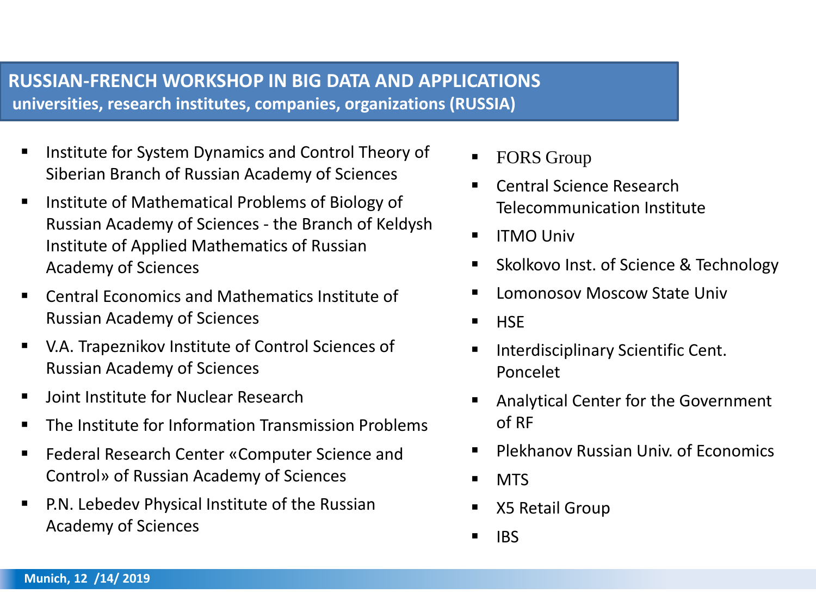#### **RUSSIAN-FRENCH WORKSHOP IN BIG DATA AND APPLICATIONS universities, research institutes, companies, organizations (RUSSIA)**

- Institute for System Dynamics and Control Theory of Siberian Branch of Russian Academy of Sciences
- Institute of Mathematical Problems of Biology of Russian Academy of Sciences - the Branch of Keldysh Institute of Applied Mathematics of Russian Academy of Sciences
- Central Economics and Mathematics Institute of Russian Academy of Sciences
- V.A. Trapeznikov Institute of Control Sciences of Russian Academy of Sciences
- Joint Institute for Nuclear Research
- The Institute for Information Transmission Problems
- Federal Research Center «Computer Science and Control» of Russian Academy of Sciences
- **P.N. Lebedev Physical Institute of the Russian** Academy of Sciences
- FORS Group
- Central Science Research Telecommunication Institute
- ITMO Univ
- Skolkovo Inst. of Science & Technology
- Lomonosov Moscow State Univ
- HSE
- Interdisciplinary Scientific Cent. Poncelet
- Analytical Center for the Government of RF
- Plekhanov Russian Univ. of Fconomics
- MTS
- X5 Retail Group
- $\blacksquare$  IBS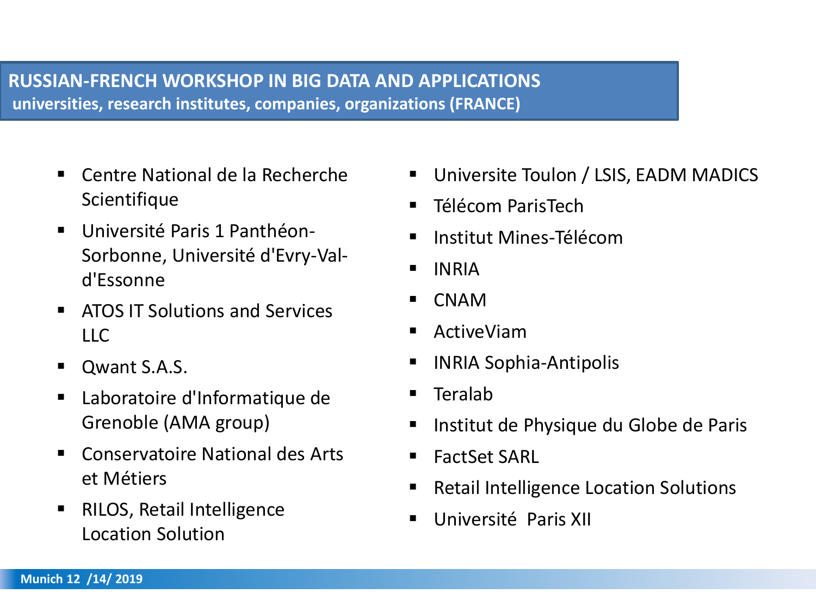#### **RUSSIAN-FRENCH WORKSHOP IN BIG DATA AND APPLICATIONS universities, research institutes, companies, organizations (FRANCE)**

- Centre National de la Recherche **Scientifique**
- Université Paris 1 Panthéon-Sorbonne, Université d'Evry-Vald'Essonne
- ATOS IT Solutions and Services  $\overline{\mathsf{L}}$
- Qwant S.A.S.
- Laboratoire d'Informatique de Grenoble (AMA group)
- Conservatoire National des Arts et Métiers
- RILOS, Retail Intelligence Location Solution
- Universite Toulon / LSIS, EADM MADICS
- Télécom ParisTech
- Institut Mines-Télécom
- INRIA
- **CNAM**
- ActiveViam
- **INRIA Sophia-Antipolis**
- **Teralab**
- Institut de Physique du Globe de Paris
- FactSet SARL
- **Retail Intelligence Location Solutions**
- Université Paris XII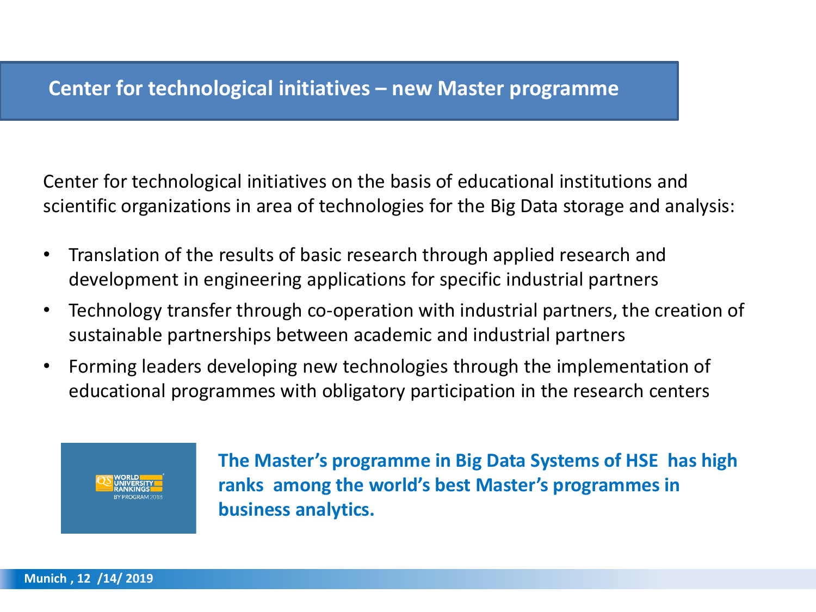Center for technological initiatives on the basis of educational institutions and scientific organizations in area of technologies for the Big Data storage and analysis:

- Translation of the results of basic research through applied research and development in engineering applications for specific industrial partners
- Technology transfer through co-operation with industrial partners, the creation of sustainable partnerships between academic and industrial partners
- Forming leaders developing new technologies through the implementation of educational programmes with obligatory participation in the research centers



**The Master's programme in Big Data Systems of HSE has high ranks among the world's best Master's programmes in business analytics.** 

**Munich , 12 /14/ 2019**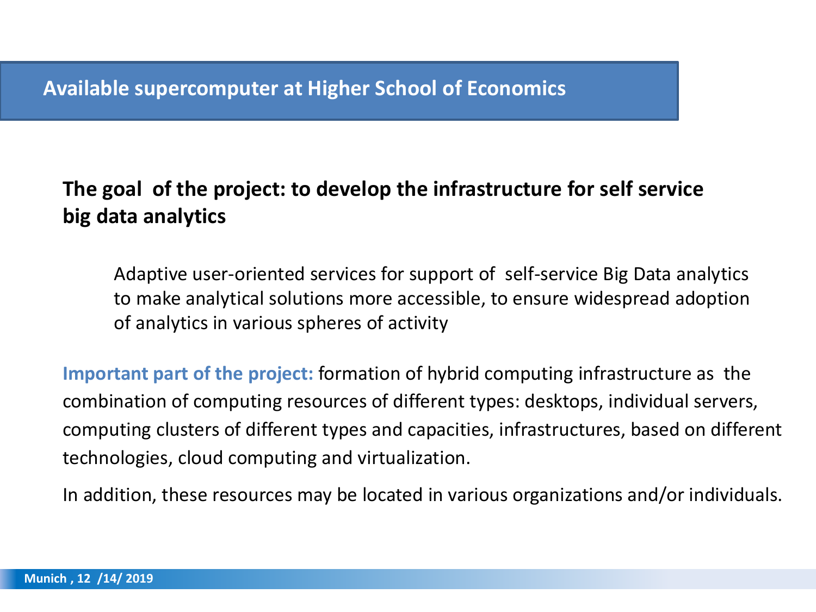### **The goal of the project: to develop the infrastructure for self service big data analytics**

Adaptive user-oriented services for support of self-service Big Data analytics to make analytical solutions more accessible, to ensure widespread adoption of analytics in various spheres of activity

**Important part of the project:** formation of hybrid computing infrastructure as the combination of computing resources of different types: desktops, individual servers, computing clusters of different types and capacities, infrastructures, based on different technologies, cloud computing and virtualization.

In addition, these resources may be located in various organizations and/or individuals.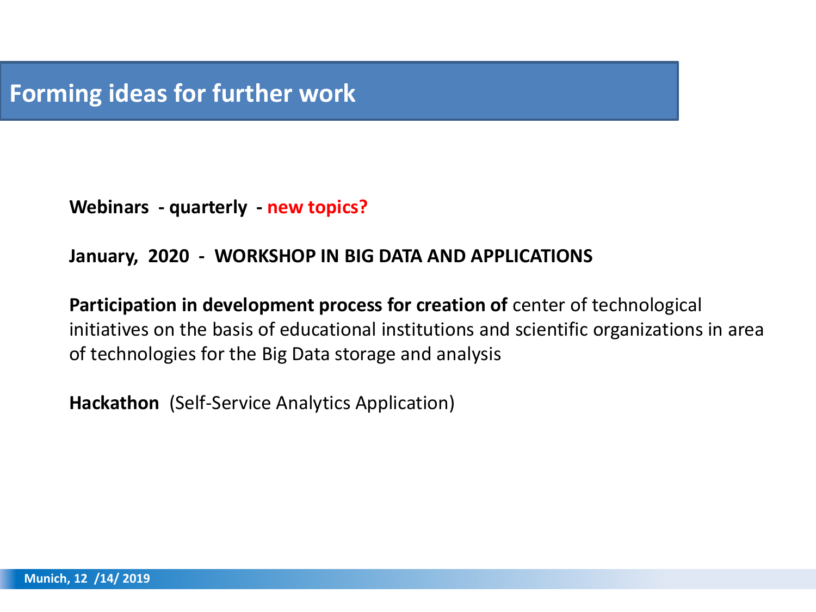**Webinars - quarterly - new topics?**

#### **January, 2020 - WORKSHOP IN BIG DATA AND APPLICATIONS**

**Participation in development process for creation of** center of technological initiatives on the basis of educational institutions and scientific organizations in area of technologies for the Big Data storage and analysis

**Hackathon** (Self-Service Analytics Application)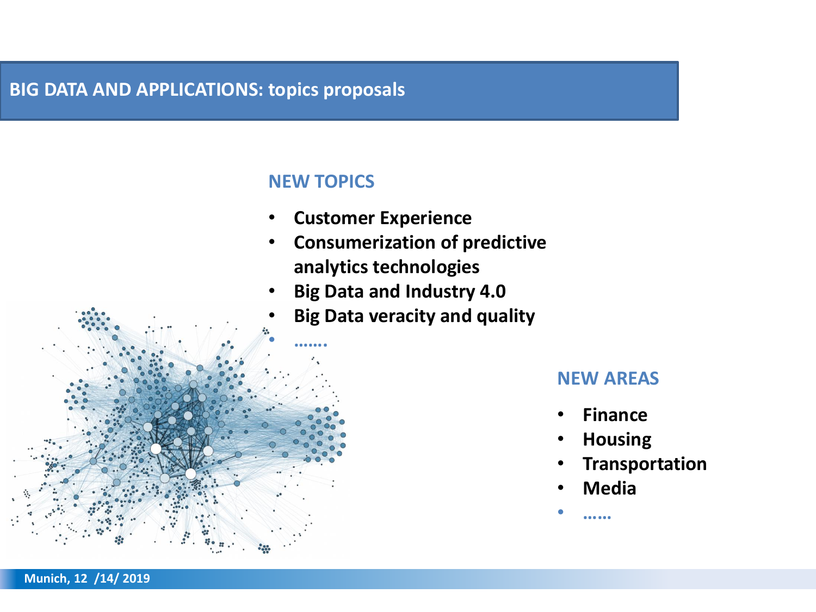### **BIG DATA AND APPLICATIONS: topics proposals**

#### **NEW TOPICS**

- **Customer Experience**
- **Consumerization of predictive analytics technologies**
- **Big Data and Industry 4.0**
- **Big Data veracity and quality**



#### **NEW AREAS**

- **Finance**
- **Housing**
- **Transportation**
- **Media**

• **……**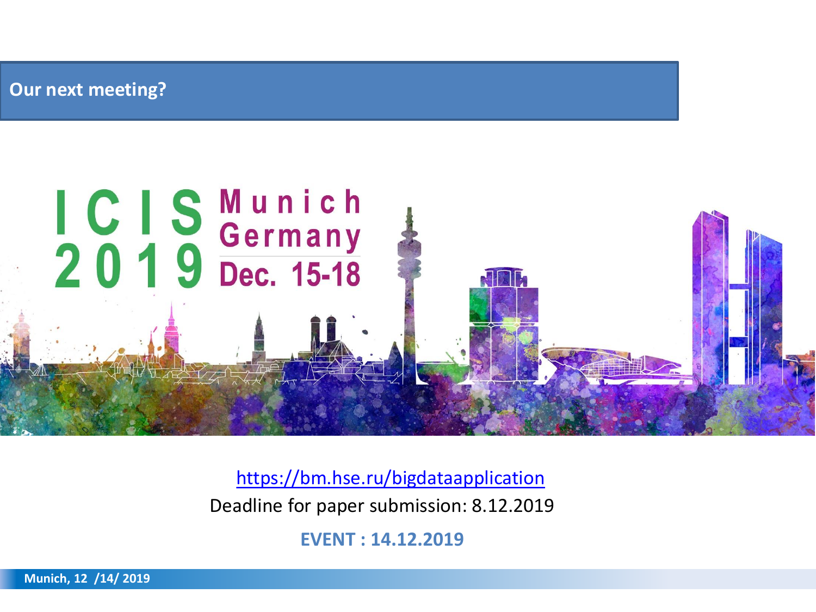**Our next meeting?** 



<https://bm.hse.ru/bigdataapplication> Deadline for paper submission: 8.12.2019

**EVENT : 14.12.2019**

**Munich, 12 /14/ 2019**